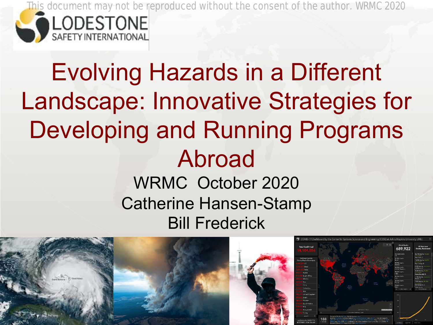

# Evolving Hazards in a Different Landscape: Innovative Strategies for Developing and Running Programs Abroad WRMC October 2020 Catherine Hansen-Stamp Bill Frederick

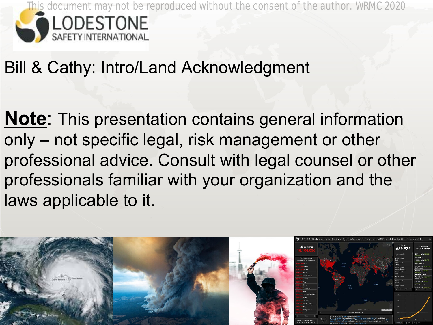

### Bill & Cathy: Intro/Land Acknowledgment

**Note**: This presentation contains general information only – not specific legal, risk management or other professional advice. Consult with legal counsel or other professionals familiar with your organization and the laws applicable to it.

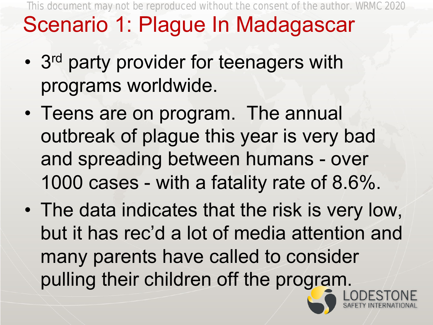**FRACTURES Travel Scenario 1: Plague In Madagascar** This document may not be reproduced without the consent of the author. WRMC 2020

- 3<sup>rd</sup> party provider for teenagers with programs worldwide.
- Teens are on program. The annual outbreak of plague this year is very bad and spreading between humans - over 1000 cases - with a fatality rate of 8.6%.
- pulling their children off the program. • The data indicates that the risk is very low, but it has rec'd a lot of media attention and many parents have called to consider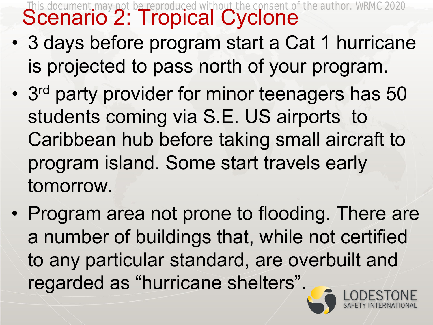**SPINE Scenario 2: Tropical Cyclone** This document may not be reproduced without the consent of the author. WRMC 2020

- **4 Medicine**  $\sqrt{2}$ • 3 days before program start a Cat 1 hurricane is projected to pass north of your program.
- 3<sup>rd</sup> party provider for minor teenagers has 50 students coming via S.E. US airports to Caribbean hub before taking small aircraft to program island. Some start travels early tomorrow.
- regarded as "hurricane shelters". • Program area not prone to flooding. There are a number of buildings that, while not certified to any particular standard, are overbuilt and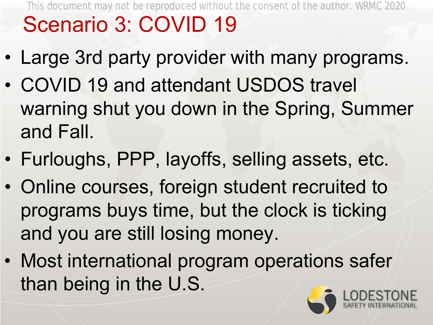### **FRACTURES Travel** Scenario 3: COVID 19 This document may not be reproduced without the consent of the author. WRMC 2020

- Large 3rd party provider with many programs.
- COVID 19 and attendant USDOS travel warning shut you down in the Spring, Summer and Fall.
- Furloughs, PPP, layoffs, selling assets, etc.
- Online courses, foreign student recruited to programs buys time, but the clock is ticking and you are still losing money.
- ® than being in the U.S. • Most international program operations safer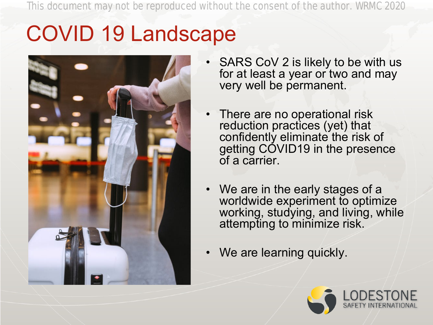### **Travel Medicine Infectious** COVID 19 Landscape



- SARS CoV 2 is likely to be with us for at least a year or two and may very well be permanent.
- There are no operational risk reduction practices (yet) that confidently eliminate the risk of getting COVID19 in the presence of a carrier.
- We are in the early stages of a worldwide experiment to optimize working, studying, and living, while attempting to minimize risk.
- We are learning quickly.

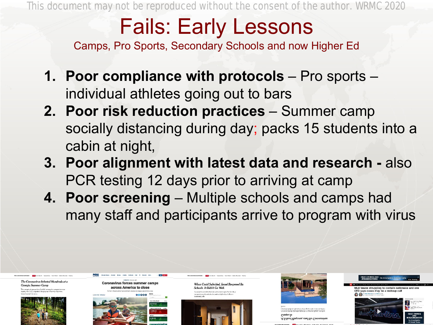# Fails: Early Lessons

Camps, Pro Sports, Secondary Schools and now Higher Ed

- **1. Poor compliance with protocols**  Pro sports individual athletes going out to bars
- **2. Poor risk reduction practices**  Summer camp socially distancing during day; packs 15 students into a cabin at night,
- **3. Poor alignment with latest data and research -** also PCR testing 12 days prior to arriving at camp
- **4. Poor screening**  Multiple schools and camps had many staff and participants arrive to program with virus

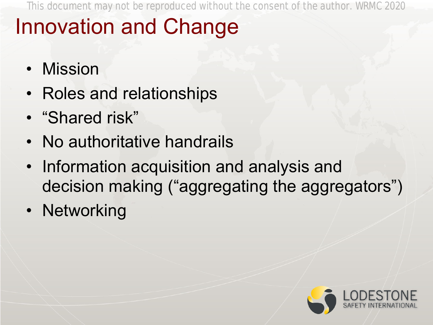#### **FRACTURES 8 In Innovation and Change**

- Mission
- Roles and relationships
- "Shared risk"
- No authoritative handrails
- Information acquisition and analysis and decision making ("aggregating the aggregators")
- Networking

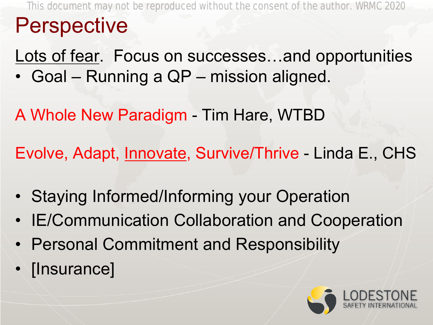**FRACTURE 9 Travel** Perspective This document may not be reproduced without the consent of the author. WRMC 2020

Lots of fear. Focus on successes...and opportunities • Goal – Running a QP – mission aligned.

A Whole New Paradigm - Tim Hare, WTBD

Evolve, Adapt, Innovate, Survive/Thrive - Linda E., CHS

- Staying Informed/Informing your Operation
- IE/Communication Collaboration and Cooperation
- Personal Commitment and Responsibility
- [Insurance]

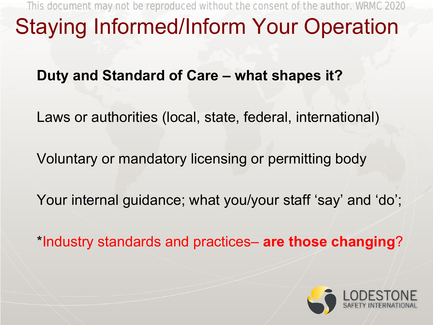#### **FRACTURES 10 C+ Staying Informed/Inform Your Operation Infectious**

**Duty and Standard of Care – what shapes it?**

Laws or authorities (local, state, federal, international)

Voluntary or mandatory licensing or permitting body

Your internal guidance; what you/your staff 'say' and 'do';

\*Industry standards and practices– **are those changing**?

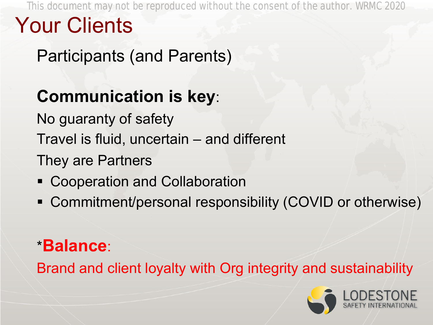**Disease** Participants (and Parents)

## **Communication is key**:

No guaranty of safety

Travel is fluid, uncertain – and different

They are Partners

- Cooperation and Collaboration
- Commitment/personal responsibility (COVID or otherwise)

### \***Balance**:

Brand and client loyalty with Org integrity and sustainability